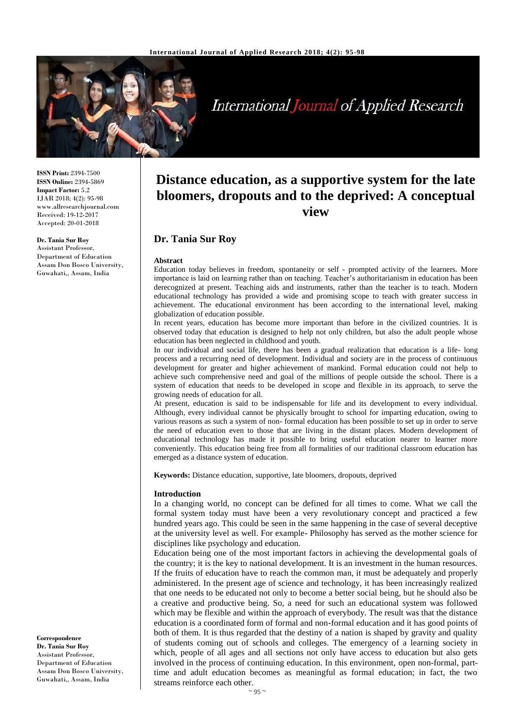

# **International Journal of Applied Research**

**ISSN Print:** 2394-7500 **ISSN Online:** 2394-5869 **Impact Factor:** 5.2 IJAR 2018; 4(2): 95-98 www.allresearchjournal.com Received: 19-12-2017 Accepted: 20-01-2018

#### **Dr. Tania Sur Roy**

Assistant Professor, Department of Education Assam Don Bosco University, Guwahati,, Assam, India

**Distance education, as a supportive system for the late bloomers, dropouts and to the deprived: A conceptual view**

## **Dr. Tania Sur Roy**

#### **Abstract**

Education today believes in freedom, spontaneity or self - prompted activity of the learners. More importance is laid on learning rather than on teaching. Teacher's authoritarianism in education has been derecognized at present. Teaching aids and instruments, rather than the teacher is to teach. Modern educational technology has provided a wide and promising scope to teach with greater success in achievement. The educational environment has been according to the international level, making globalization of education possible.

In recent years, education has become more important than before in the civilized countries. It is observed today that education is designed to help not only children, but also the adult people whose education has been neglected in childhood and youth.

In our individual and social life, there has been a gradual realization that education is a life- long process and a recurring need of development. Individual and society are in the process of continuous development for greater and higher achievement of mankind. Formal education could not help to achieve such comprehensive need and goal of the millions of people outside the school. There is a system of education that needs to be developed in scope and flexible in its approach, to serve the growing needs of education for all.

At present, education is said to be indispensable for life and its development to every individual. Although, every individual cannot be physically brought to school for imparting education, owing to various reasons as such a system of non- formal education has been possible to set up in order to serve the need of education even to those that are living in the distant places. Modern development of educational technology has made it possible to bring useful education nearer to learner more conveniently. This education being free from all formalities of our traditional classroom education has emerged as a distance system of education.

**Keywords:** Distance education, supportive, late bloomers, dropouts, deprived

#### **Introduction**

In a changing world, no concept can be defined for all times to come. What we call the formal system today must have been a very revolutionary concept and practiced a few hundred years ago. This could be seen in the same happening in the case of several deceptive at the university level as well. For example- Philosophy has served as the mother science for disciplines like psychology and education.

Education being one of the most important factors in achieving the developmental goals of the country; it is the key to national development. It is an investment in the human resources. If the fruits of education have to reach the common man, it must be adequately and properly administered. In the present age of science and technology, it has been increasingly realized that one needs to be educated not only to become a better social being, but he should also be a creative and productive being. So, a need for such an educational system was followed which may be flexible and within the approach of everybody. The result was that the distance education is a coordinated form of formal and non-formal education and it has good points of both of them. It is thus regarded that the destiny of a nation is shaped by gravity and quality of students coming out of schools and colleges. The emergency of a learning society in which, people of all ages and all sections not only have access to education but also gets involved in the process of continuing education. In this environment, open non-formal, parttime and adult education becomes as meaningful as formal education; in fact, the two streams reinforce each other.

**Correspondence Dr. Tania Sur Roy** Assistant Professor, Department of Education Assam Don Bosco University, Guwahati,, Assam, India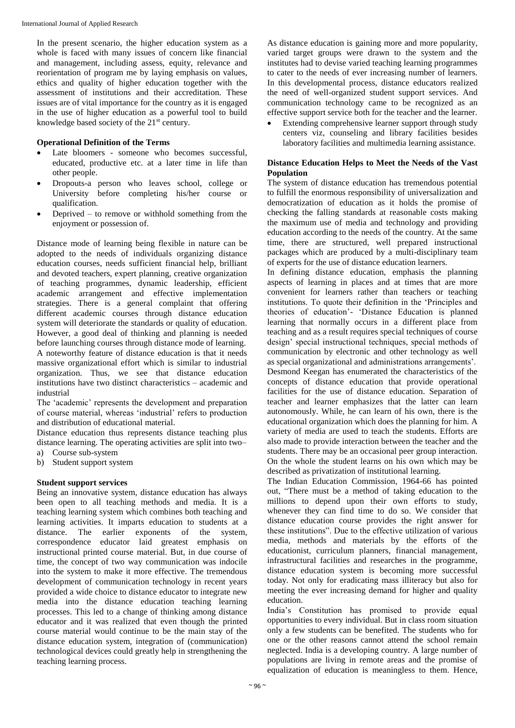In the present scenario, the higher education system as a whole is faced with many issues of concern like financial and management, including assess, equity, relevance and reorientation of program me by laying emphasis on values, ethics and quality of higher education together with the assessment of institutions and their accreditation. These issues are of vital importance for the country as it is engaged in the use of higher education as a powerful tool to build knowledge based society of the 21<sup>st</sup> century.

#### **Operational Definition of the Terms**

- Late bloomers someone who becomes successful, educated, productive etc. at a later time in life than other people.
- Dropouts-a person who leaves school, college or University before completing his/her course or qualification.
- Deprived to remove or withhold something from the enjoyment or possession of.

Distance mode of learning being flexible in nature can be adopted to the needs of individuals organizing distance education courses, needs sufficient financial help, brilliant and devoted teachers, expert planning, creative organization of teaching programmes, dynamic leadership, efficient academic arrangement and effective implementation strategies. There is a general complaint that offering different academic courses through distance education system will deteriorate the standards or quality of education. However, a good deal of thinking and planning is needed before launching courses through distance mode of learning. A noteworthy feature of distance education is that it needs massive organizational effort which is similar to industrial organization. Thus, we see that distance education institutions have two distinct characteristics – academic and industrial

The 'academic' represents the development and preparation of course material, whereas 'industrial' refers to production and distribution of educational material.

Distance education thus represents distance teaching plus distance learning. The operating activities are split into two– a) Course sub-system

b) Student support system

## **Student support services**

Being an innovative system, distance education has always been open to all teaching methods and media. It is a teaching learning system which combines both teaching and learning activities. It imparts education to students at a distance. The earlier exponents of the system, correspondence educator laid greatest emphasis on instructional printed course material. But, in due course of time, the concept of two way communication was indocile into the system to make it more effective. The tremendous development of communication technology in recent years provided a wide choice to distance educator to integrate new media into the distance education teaching learning processes. This led to a change of thinking among distance educator and it was realized that even though the printed course material would continue to be the main stay of the distance education system, integration of (communication) technological devices could greatly help in strengthening the teaching learning process.

As distance education is gaining more and more popularity, varied target groups were drawn to the system and the institutes had to devise varied teaching learning programmes to cater to the needs of ever increasing number of learners. In this developmental process, distance educators realized the need of well-organized student support services. And communication technology came to be recognized as an effective support service both for the teacher and the learner.

 Extending comprehensive learner support through study centers viz, counseling and library facilities besides laboratory facilities and multimedia learning assistance.

#### **Distance Education Helps to Meet the Needs of the Vast Population**

The system of distance education has tremendous potential to fulfill the enormous responsibility of universalization and democratization of education as it holds the promise of checking the falling standards at reasonable costs making the maximum use of media and technology and providing education according to the needs of the country. At the same time, there are structured, well prepared instructional packages which are produced by a multi-disciplinary team of experts for the use of distance education learners.

In defining distance education, emphasis the planning aspects of learning in places and at times that are more convenient for learners rather than teachers or teaching institutions. To quote their definition in the 'Principles and theories of education'- 'Distance Education is planned learning that normally occurs in a different place from teaching and as a result requires special techniques of course design' special instructional techniques, special methods of communication by electronic and other technology as well as special organizational and administrations arrangements'. Desmond Keegan has enumerated the characteristics of the concepts of distance education that provide operational facilities for the use of distance education. Separation of teacher and learner emphasizes that the latter can learn autonomously. While, he can learn of his own, there is the educational organization which does the planning for him. A variety of media are used to teach the students. Efforts are also made to provide interaction between the teacher and the students. There may be an occasional peer group interaction. On the whole the student learns on his own which may be described as privatization of institutional learning.

The Indian Education Commission, 1964-66 has pointed out, "There must be a method of taking education to the millions to depend upon their own efforts to study, whenever they can find time to do so. We consider that distance education course provides the right answer for these institutions". Due to the effective utilization of various media, methods and materials by the efforts of the educationist, curriculum planners, financial management, infrastructural facilities and researches in the programme, distance education system is becoming more successful today. Not only for eradicating mass illiteracy but also for meeting the ever increasing demand for higher and quality education.

India's Constitution has promised to provide equal opportunities to every individual. But in class room situation only a few students can be benefited. The students who for one or the other reasons cannot attend the school remain neglected. India is a developing country. A large number of populations are living in remote areas and the promise of equalization of education is meaningless to them. Hence,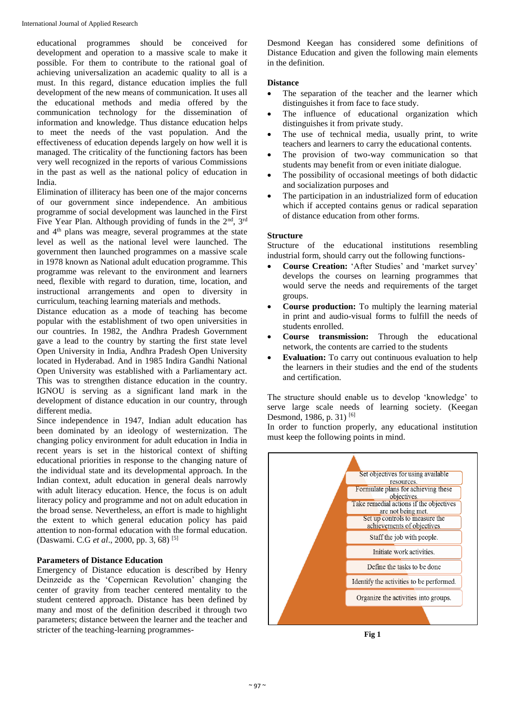educational programmes should be conceived for development and operation to a massive scale to make it possible. For them to contribute to the rational goal of achieving universalization an academic quality to all is a must. In this regard, distance education implies the full development of the new means of communication. It uses all the educational methods and media offered by the communication technology for the dissemination of information and knowledge. Thus distance education helps to meet the needs of the vast population. And the effectiveness of education depends largely on how well it is managed. The criticality of the functioning factors has been very well recognized in the reports of various Commissions in the past as well as the national policy of education in India.

Elimination of illiteracy has been one of the major concerns of our government since independence. An ambitious programme of social development was launched in the First Five Year Plan. Although providing of funds in the 2<sup>nd</sup>, 3<sup>rd</sup> and 4th plans was meagre, several programmes at the state level as well as the national level were launched. The government then launched programmes on a massive scale in 1978 known as National adult education programme. This programme was relevant to the environment and learners need, flexible with regard to duration, time, location, and instructional arrangements and open to diversity in curriculum, teaching learning materials and methods.

Distance education as a mode of teaching has become popular with the establishment of two open universities in our countries. In 1982, the Andhra Pradesh Government gave a lead to the country by starting the first state level Open University in India, Andhra Pradesh Open University located in Hyderabad. And in 1985 Indira Gandhi National Open University was established with a Parliamentary act. This was to strengthen distance education in the country. IGNOU is serving as a significant land mark in the development of distance education in our country, through different media.

Since independence in 1947, Indian adult education has been dominated by an ideology of westernization. The changing policy environment for adult education in India in recent years is set in the historical context of shifting educational priorities in response to the changing nature of the individual state and its developmental approach. In the Indian context, adult education in general deals narrowly with adult literacy education. Hence, the focus is on adult literacy policy and programme and not on adult education in the broad sense. Nevertheless, an effort is made to highlight the extent to which general education policy has paid attention to non-formal education with the formal education. (Daswami. C.G *et al*., 2000, pp. 3, 68) [5]

## **Parameters of Distance Education**

Emergency of Distance education is described by Henry Deinzeide as the 'Copernican Revolution' changing the center of gravity from teacher centered mentality to the student centered approach. Distance has been defined by many and most of the definition described it through two parameters; distance between the learner and the teacher and stricter of the teaching-learning programmesDesmond Keegan has considered some definitions of Distance Education and given the following main elements in the definition.

## **Distance**

- The separation of the teacher and the learner which distinguishes it from face to face study.
- The influence of educational organization which distinguishes it from private study.
- The use of technical media, usually print, to write teachers and learners to carry the educational contents.
- The provision of two-way communication so that students may benefit from or even initiate dialogue.
- The possibility of occasional meetings of both didactic and socialization purposes and
- The participation in an industrialized form of education which if accepted contains genus or radical separation of distance education from other forms.

## **Structure**

Structure of the educational institutions resembling industrial form, should carry out the following functions-

- **Course Creation:** 'After Studies' and 'market survey' develops the courses on learning programmes that would serve the needs and requirements of the target groups.
- **Course production:** To multiply the learning material in print and audio-visual forms to fulfill the needs of students enrolled.
- **Course transmission:** Through the educational network, the contents are carried to the students
- **Evaluation:** To carry out continuous evaluation to help the learners in their studies and the end of the students and certification.

The structure should enable us to develop 'knowledge' to serve large scale needs of learning society. (Keegan Desmond, 1986, p. 31)<sup>[6]</sup>

In order to function properly, any educational institution must keep the following points in mind.



**Fig 1**